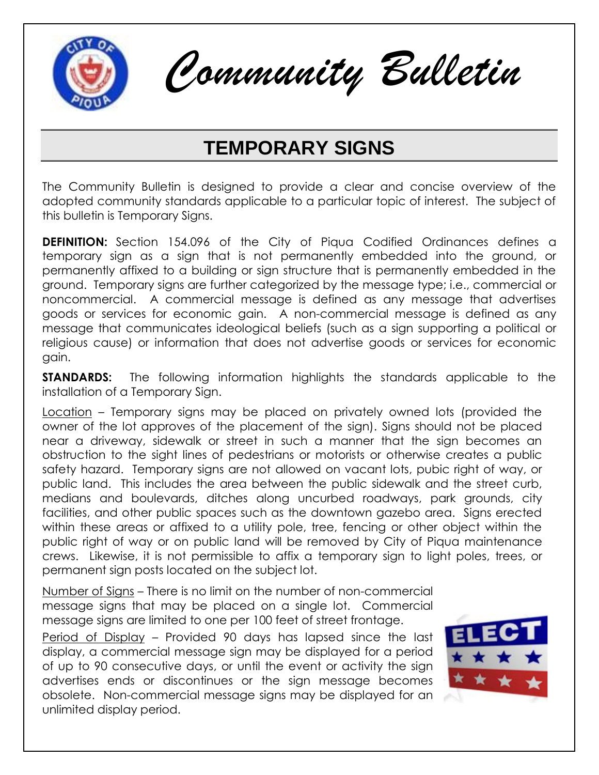

*Community Bulletin*

# **TEMPORARY SIGNS**

The Community Bulletin is designed to provide a clear and concise overview of the adopted community standards applicable to a particular topic of interest. The subject of this bulletin is Temporary Signs.

**DEFINITION:** Section 154.096 of the City of Piqua Codified Ordinances defines a temporary sign as a sign that is not permanently embedded into the ground, or permanently affixed to a building or sign structure that is permanently embedded in the ground. Temporary signs are further categorized by the message type; i.e., commercial or noncommercial. A commercial message is defined as any message that advertises goods or services for economic gain. A non-commercial message is defined as any message that communicates ideological beliefs (such as a sign supporting a political or religious cause) or information that does not advertise goods or services for economic gain.

**STANDARDS:** The following information highlights the standards applicable to the installation of a Temporary Sign.

Location – Temporary signs may be placed on privately owned lots (provided the owner of the lot approves of the placement of the sign). Signs should not be placed near a driveway, sidewalk or street in such a manner that the sign becomes an obstruction to the sight lines of pedestrians or motorists or otherwise creates a public safety hazard. Temporary signs are not allowed on vacant lots, pubic right of way, or public land. This includes the area between the public sidewalk and the street curb, medians and boulevards, ditches along uncurbed roadways, park grounds, city facilities, and other public spaces such as the downtown gazebo area. Signs erected within these areas or affixed to a utility pole, tree, fencing or other object within the public right of way or on public land will be removed by City of Piqua maintenance crews. Likewise, it is not permissible to affix a temporary sign to light poles, trees, or permanent sign posts located on the subject lot.

Number of Signs – There is no limit on the number of non-commercial message signs that may be placed on a single lot. Commercial message signs are limited to one per 100 feet of street frontage.

Period of Display – Provided 90 days has lapsed since the last display, a commercial message sign may be displayed for a period of up to 90 consecutive days, or until the event or activity the sign advertises ends or discontinues or the sign message becomes obsolete. Non-commercial message signs may be displayed for an unlimited display period.